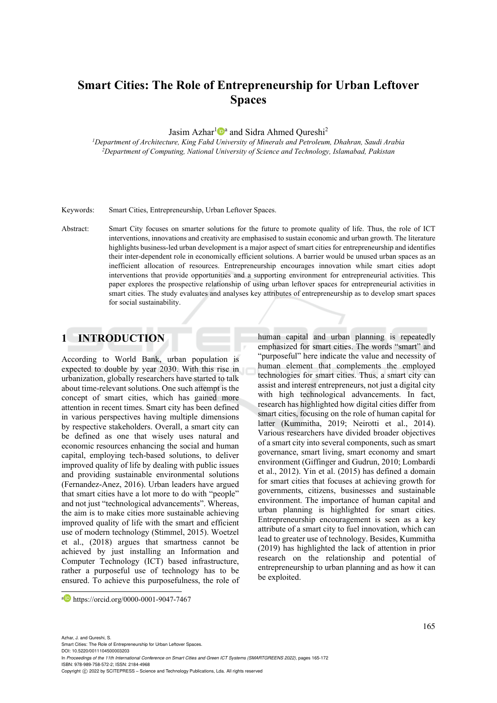# **Smart Cities: The Role of Entrepreneurship for Urban Leftover Spaces**

Jasim Azhar<sup>1</sup><sup>1</sup><sup>a</sup> and Sidra Ahmed Qureshi<sup>2</sup>

*1Department of Architecture, King Fahd University of Minerals and Petroleum, Dhahran, Saudi Arabia 2Department of Computing, National University of Science and Technology, Islamabad, Pakistan* 

Keywords: Smart Cities, Entrepreneurship, Urban Leftover Spaces.

Abstract: Smart City focuses on smarter solutions for the future to promote quality of life. Thus, the role of ICT interventions, innovations and creativity are emphasised to sustain economic and urban growth. The literature highlights business-led urban development is a major aspect of smart cities for entrepreneurship and identifies their inter-dependent role in economically efficient solutions. A barrier would be unused urban spaces as an inefficient allocation of resources. Entrepreneurship encourages innovation while smart cities adopt interventions that provide opportunities and a supporting environment for entrepreneurial activities. This paper explores the prospective relationship of using urban leftover spaces for entrepreneurial activities in smart cities. The study evaluates and analyses key attributes of entrepreneurship as to develop smart spaces for social sustainability.

## **1 INTRODUCTION**

According to World Bank, urban population is expected to double by year 2030. With this rise in urbanization, globally researchers have started to talk about time-relevant solutions. One such attempt is the concept of smart cities, which has gained more attention in recent times. Smart city has been defined in various perspectives having multiple dimensions by respective stakeholders. Overall, a smart city can be defined as one that wisely uses natural and economic resources enhancing the social and human capital, employing tech-based solutions, to deliver improved quality of life by dealing with public issues and providing sustainable environmental solutions (Fernandez-Anez, 2016). Urban leaders have argued that smart cities have a lot more to do with "people" and not just "technological advancements". Whereas, the aim is to make cities more sustainable achieving improved quality of life with the smart and efficient use of modern technology (Stimmel, 2015). Woetzel et al., (2018) argues that smartness cannot be achieved by just installing an Information and Computer Technology (ICT) based infrastructure, rather a purposeful use of technology has to be ensured. To achieve this purposefulness, the role of human capital and urban planning is repeatedly emphasized for smart cities. The words "smart" and "purposeful" here indicate the value and necessity of human element that complements the employed technologies for smart cities. Thus, a smart city can assist and interest entrepreneurs, not just a digital city with high technological advancements. In fact, research has highlighted how digital cities differ from smart cities, focusing on the role of human capital for latter (Kummitha, 2019; Neirotti et al., 2014). Various researchers have divided broader objectives of a smart city into several components, such as smart governance, smart living, smart economy and smart environment (Giffinger and Gudrun, 2010; Lombardi et al., 2012). Yin et al. (2015) has defined a domain for smart cities that focuses at achieving growth for governments, citizens, businesses and sustainable environment. The importance of human capital and urban planning is highlighted for smart cities. Entrepreneurship encouragement is seen as a key attribute of a smart city to fuel innovation, which can lead to greater use of technology. Besides, Kummitha (2019) has highlighted the lack of attention in prior research on the relationship and potential of entrepreneurship to urban planning and as how it can be exploited.

a https://orcid.org/0000-0001-9047-7467

In *Proceedings of the 11th International Conference on Smart Cities and Green ICT Systems (SMARTGREENS 2022)*, pages 165-172 ISBN: 978-989-758-572-2; ISSN: 2184-4968

Azhar, J. and Qureshi, S.

Smart Cities: The Role of Entrepreneurship for Urban Leftover Spaces. DOI: 10.5220/0011104500003203

Copyright (C) 2022 by SCITEPRESS - Science and Technology Publications, Lda. All rights reserved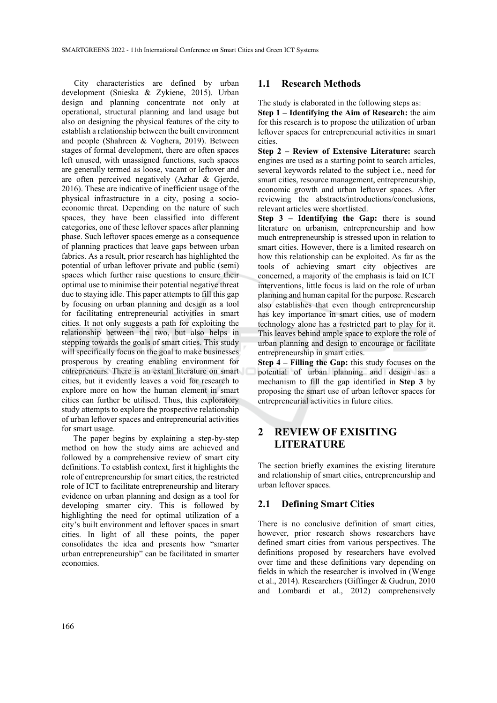City characteristics are defined by urban development (Snieska & Zykiene, 2015). Urban design and planning concentrate not only at operational, structural planning and land usage but also on designing the physical features of the city to establish a relationship between the built environment and people (Shahreen & Voghera, 2019). Between stages of formal development, there are often spaces left unused, with unassigned functions, such spaces are generally termed as loose, vacant or leftover and are often perceived negatively (Azhar & Gjerde, 2016). These are indicative of inefficient usage of the physical infrastructure in a city, posing a socioeconomic threat. Depending on the nature of such spaces, they have been classified into different categories, one of these leftover spaces after planning phase. Such leftover spaces emerge as a consequence of planning practices that leave gaps between urban fabrics. As a result, prior research has highlighted the potential of urban leftover private and public (semi) spaces which further raise questions to ensure their optimal use to minimise their potential negative threat due to staying idle. This paper attempts to fill this gap by focusing on urban planning and design as a tool for facilitating entrepreneurial activities in smart cities. It not only suggests a path for exploiting the relationship between the two, but also helps in stepping towards the goals of smart cities. This study will specifically focus on the goal to make businesses prosperous by creating enabling environment for entrepreneurs. There is an extant literature on smart cities, but it evidently leaves a void for research to explore more on how the human element in smart cities can further be utilised. Thus, this exploratory study attempts to explore the prospective relationship of urban leftover spaces and entrepreneurial activities for smart usage.

The paper begins by explaining a step-by-step method on how the study aims are achieved and followed by a comprehensive review of smart city definitions. To establish context, first it highlights the role of entrepreneurship for smart cities, the restricted role of ICT to facilitate entrepreneurship and literary evidence on urban planning and design as a tool for developing smarter city. This is followed by highlighting the need for optimal utilization of a city's built environment and leftover spaces in smart cities. In light of all these points, the paper consolidates the idea and presents how "smarter urban entrepreneurship" can be facilitated in smarter economies.

#### **1.1 Research Methods**

The study is elaborated in the following steps as:

**Step 1 – Identifying the Aim of Research:** the aim for this research is to propose the utilization of urban leftover spaces for entrepreneurial activities in smart cities.

**Step 2 – Review of Extensive Literature:** search engines are used as a starting point to search articles, several keywords related to the subject i.e., need for smart cities, resource management, entrepreneurship, economic growth and urban leftover spaces. After reviewing the abstracts/introductions/conclusions, relevant articles were shortlisted.

**Step 3 – Identifying the Gap:** there is sound literature on urbanism, entrepreneurship and how much entrepreneurship is stressed upon in relation to smart cities. However, there is a limited research on how this relationship can be exploited. As far as the tools of achieving smart city objectives are concerned, a majority of the emphasis is laid on ICT interventions, little focus is laid on the role of urban planning and human capital for the purpose. Research also establishes that even though entrepreneurship has key importance in smart cities, use of modern technology alone has a restricted part to play for it. This leaves behind ample space to explore the role of urban planning and design to encourage or facilitate entrepreneurship in smart cities.

**Step 4 – Filling the Gap:** this study focuses on the potential of urban planning and design as a mechanism to fill the gap identified in **Step 3** by proposing the smart use of urban leftover spaces for entrepreneurial activities in future cities.

## **2 REVIEW OF EXISITING LITERATURE**

The section briefly examines the existing literature and relationship of smart cities, entrepreneurship and urban leftover spaces.

#### **2.1 Defining Smart Cities**

There is no conclusive definition of smart cities, however, prior research shows researchers have defined smart cities from various perspectives. The definitions proposed by researchers have evolved over time and these definitions vary depending on fields in which the researcher is involved in (Wenge et al., 2014). Researchers (Giffinger & Gudrun, 2010 and Lombardi et al., 2012) comprehensively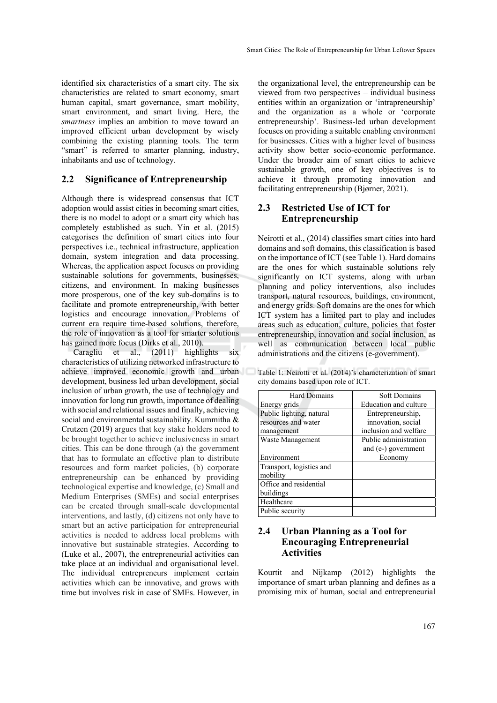identified six characteristics of a smart city. The six characteristics are related to smart economy, smart human capital, smart governance, smart mobility, smart environment, and smart living. Here, the *smartness* implies an ambition to move toward an improved efficient urban development by wisely combining the existing planning tools. The term "smart" is referred to smarter planning, industry, inhabitants and use of technology.

#### **2.2 Significance of Entrepreneurship**

Although there is widespread consensus that ICT adoption would assist cities in becoming smart cities, there is no model to adopt or a smart city which has completely established as such. Yin et al. (2015) categorises the definition of smart cities into four perspectives i.e., technical infrastructure, application domain, system integration and data processing. Whereas, the application aspect focuses on providing sustainable solutions for governments, businesses, citizens, and environment. In making businesses more prosperous, one of the key sub-domains is to facilitate and promote entrepreneurship, with better logistics and encourage innovation. Problems of current era require time-based solutions, therefore, the role of innovation as a tool for smarter solutions has gained more focus (Dirks et al., 2010).

Caragliu et al., (2011) highlights six characteristics of utilizing networked infrastructure to achieve improved economic growth and urban development, business led urban development, social inclusion of urban growth, the use of technology and innovation for long run growth, importance of dealing with social and relational issues and finally, achieving social and environmental sustainability. Kummitha & Crutzen (2019) argues that key stake holders need to be brought together to achieve inclusiveness in smart cities. This can be done through (a) the government that has to formulate an effective plan to distribute resources and form market policies, (b) corporate entrepreneurship can be enhanced by providing technological expertise and knowledge, (c) Small and Medium Enterprises (SMEs) and social enterprises can be created through small-scale developmental interventions, and lastly, (d) citizens not only have to smart but an active participation for entrepreneurial activities is needed to address local problems with innovative but sustainable strategies. According to (Luke et al., 2007), the entrepreneurial activities can take place at an individual and organisational level. The individual entrepreneurs implement certain activities which can be innovative, and grows with time but involves risk in case of SMEs. However, in

the organizational level, the entrepreneurship can be viewed from two perspectives – individual business entities within an organization or 'intrapreneurship' and the organization as a whole or 'corporate entrepreneurship'. Business-led urban development focuses on providing a suitable enabling environment for businesses. Cities with a higher level of business activity show better socio-economic performance. Under the broader aim of smart cities to achieve sustainable growth, one of key objectives is to achieve it through promoting innovation and facilitating entrepreneurship (Bjørner, 2021).

### **2.3 Restricted Use of ICT for Entrepreneurship**

Neirotti et al., (2014) classifies smart cities into hard domains and soft domains, this classification is based on the importance of ICT (see Table 1). Hard domains are the ones for which sustainable solutions rely significantly on ICT systems, along with urban planning and policy interventions, also includes transport, natural resources, buildings, environment, and energy grids. Soft domains are the ones for which ICT system has a limited part to play and includes areas such as education, culture, policies that foster entrepreneurship, innovation and social inclusion, as well as communication between local public administrations and the citizens (e-government).

Table 1: Neirotti et al. (2014)'s characterization of smart city domains based upon role of ICT.

| <b>Hard Domains</b>      | <b>Soft Domains</b>   |
|--------------------------|-----------------------|
| Energy grids             | Education and culture |
| Public lighting, natural | Entrepreneurship,     |
| resources and water      | innovation, social    |
| management               | inclusion and welfare |
| Waste Management         | Public administration |
|                          | and (e-) government   |
| Environment              | Economy               |
| Transport, logistics and |                       |
| mobility                 |                       |
| Office and residential   |                       |
| buildings                |                       |
| Healthcare               |                       |
| Public security          |                       |

### **2.4 Urban Planning as a Tool for Encouraging Entrepreneurial Activities**

Kourtit and Nijkamp (2012) highlights the importance of smart urban planning and defines as a promising mix of human, social and entrepreneurial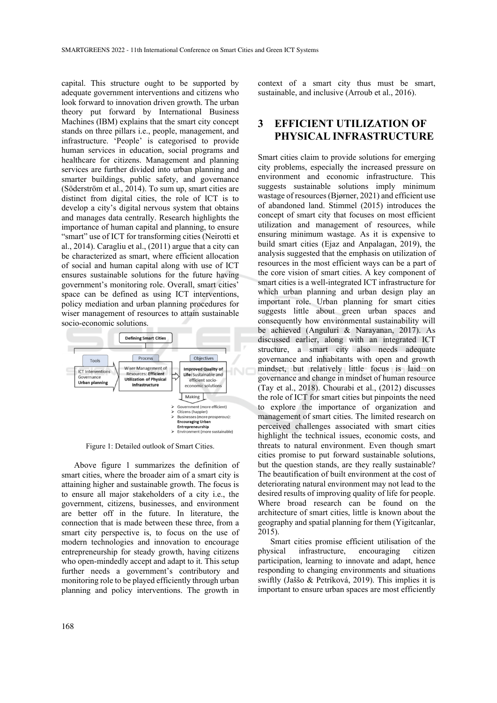capital. This structure ought to be supported by adequate government interventions and citizens who look forward to innovation driven growth. The urban theory put forward by International Business Machines (IBM) explains that the smart city concept stands on three pillars i.e., people, management, and infrastructure. 'People' is categorised to provide human services in education, social programs and healthcare for citizens. Management and planning services are further divided into urban planning and smarter buildings, public safety, and governance (Söderström et al., 2014). To sum up, smart cities are distinct from digital cities, the role of ICT is to develop a city's digital nervous system that obtains and manages data centrally. Research highlights the importance of human capital and planning, to ensure "smart" use of ICT for transforming cities (Neirotti et al., 2014). Caragliu et al., (2011) argue that a city can be characterized as smart, where efficient allocation of social and human capital along with use of ICT ensures sustainable solutions for the future having government's monitoring role. Overall, smart cities' space can be defined as using ICT interventions, policy mediation and urban planning procedures for wiser management of resources to attain sustainable socio-economic solutions.



Figure 1: Detailed outlook of Smart Cities.

Above figure 1 summarizes the definition of smart cities, where the broader aim of a smart city is attaining higher and sustainable growth. The focus is to ensure all major stakeholders of a city i.e., the government, citizens, businesses, and environment are better off in the future. In literature, the connection that is made between these three, from a smart city perspective is, to focus on the use of modern technologies and innovation to encourage entrepreneurship for steady growth, having citizens who open-mindedly accept and adapt to it. This setup further needs a government's contributory and monitoring role to be played efficiently through urban planning and policy interventions. The growth in context of a smart city thus must be smart, sustainable, and inclusive (Arroub et al., 2016).

## **3 EFFICIENT UTILIZATION OF PHYSICAL INFRASTRUCTURE**

Smart cities claim to provide solutions for emerging city problems, especially the increased pressure on environment and economic infrastructure. This suggests sustainable solutions imply minimum wastage of resources (Bjørner, 2021) and efficient use of abandoned land. Stimmel (2015) introduces the concept of smart city that focuses on most efficient utilization and management of resources, while ensuring minimum wastage. As it is expensive to build smart cities (Ejaz and Anpalagan, 2019), the analysis suggested that the emphasis on utilization of resources in the most efficient ways can be a part of the core vision of smart cities. A key component of smart cities is a well-integrated ICT infrastructure for which urban planning and urban design play an important role. Urban planning for smart cities suggests little about green urban spaces and consequently how environmental sustainability will be achieved (Anguluri & Narayanan, 2017). As discussed earlier, along with an integrated ICT structure, a smart city also needs adequate governance and inhabitants with open and growth mindset, but relatively little focus is laid on governance and change in mindset of human resource (Tay et al., 2018). Chourabi et al., (2012) discusses the role of ICT for smart cities but pinpoints the need to explore the importance of organization and management of smart cities. The limited research on perceived challenges associated with smart cities highlight the technical issues, economic costs, and threats to natural environment. Even though smart cities promise to put forward sustainable solutions, but the question stands, are they really sustainable? The beautification of built environment at the cost of deteriorating natural environment may not lead to the desired results of improving quality of life for people. Where broad research can be found on the architecture of smart cities, little is known about the geography and spatial planning for them (Yigitcanlar, 2015).

Smart cities promise efficient utilisation of the physical infrastructure, encouraging citizen participation, learning to innovate and adapt, hence responding to changing environments and situations swiftly (Jaššo & Petríková, 2019). This implies it is important to ensure urban spaces are most efficiently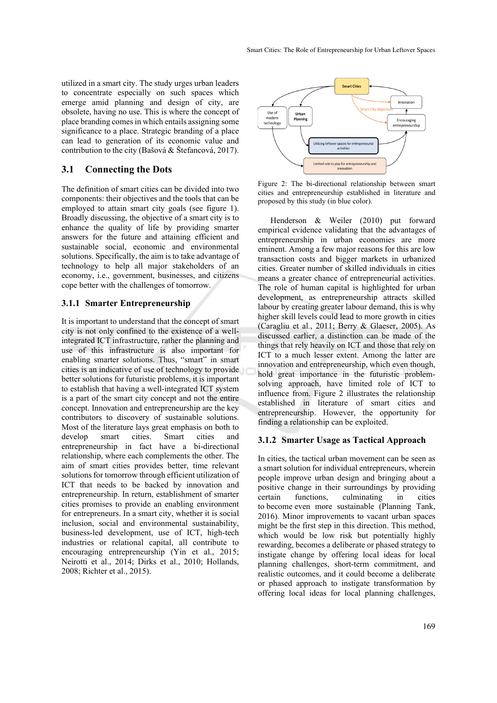utilized in a smart city. The study urges urban leaders to concentrate especially on such spaces which emerge amid planning and design of city, are obsolete, having no use. This is where the concept of place branding comes in which entails assigning some significance to a place. Strategic branding of a place can lead to generation of its economic value and contribution to the city (Bašová & Štefancová, 2017).

### **3.1 Connecting the Dots**

The definition of smart cities can be divided into two components: their objectives and the tools that can be employed to attain smart city goals (see figure 1). Broadly discussing, the objective of a smart city is to enhance the quality of life by providing smarter answers for the future and attaining efficient and sustainable social, economic and environmental solutions. Specifically, the aim is to take advantage of technology to help all major stakeholders of an economy, i.e., government, businesses, and citizens cope better with the challenges of tomorrow.

#### **3.1.1 Smarter Entrepreneurship**

It is important to understand that the concept of smart city is not only confined to the existence of a wellintegrated ICT infrastructure, rather the planning and use of this infrastructure is also important for enabling smarter solutions. Thus, "smart" in smart cities is an indicative of use of technology to provide better solutions for futuristic problems, it is important to establish that having a well-integrated ICT system is a part of the smart city concept and not the entire concept. Innovation and entrepreneurship are the key contributors to discovery of sustainable solutions. Most of the literature lays great emphasis on both to<br>develop smart cities. Smart cities and develop smart cities. Smart cities and entrepreneurship in fact have a bi-directional relationship, where each complements the other. The aim of smart cities provides better, time relevant solutions for tomorrow through efficient utilization of ICT that needs to be backed by innovation and entrepreneurship. In return, establishment of smarter cities promises to provide an enabling environment for entrepreneurs. In a smart city, whether it is social inclusion, social and environmental sustainability, business-led development, use of ICT, high-tech industries or relational capital, all contribute to encouraging entrepreneurship (Yin et al., 2015; Neirotti et al., 2014; Dirks et al., 2010; Hollands, 2008; Richter et al., 2015).



Figure 2: The bi-directional relationship between smart cities and entrepreneurship established in literature and proposed by this study (in blue color).

Henderson & Weiler (2010) put forward empirical evidence validating that the advantages of entrepreneurship in urban economies are more eminent. Among a few major reasons for this are low transaction costs and bigger markets in urbanized cities. Greater number of skilled individuals in cities means a greater chance of entrepreneurial activities. The role of human capital is highlighted for urban development, as entrepreneurship attracts skilled labour by creating greater labour demand, this is why higher skill levels could lead to more growth in cities (Caragliu et al., 2011; Berry & Glaeser, 2005). As discussed earlier, a distinction can be made of the things that rely heavily on ICT and those that rely on ICT to a much lesser extent. Among the latter are innovation and entrepreneurship, which even though, hold great importance in the futuristic problemsolving approach, have limited role of ICT to influence from. Figure 2 illustrates the relationship established in literature of smart cities and entrepreneurship. However, the opportunity for finding a relationship can be exploited.

#### **3.1.2 Smarter Usage as Tactical Approach**

In cities, the tactical urban movement can be seen as a smart solution for individual entrepreneurs, wherein people improve urban design and bringing about a positive change in their surroundings by providing certain functions, culminating in cities to become even more sustainable (Planning Tank, 2016). Minor improvements to vacant urban spaces might be the first step in this direction. This method, which would be low risk but potentially highly rewarding, becomes a deliberate or phased strategy to instigate change by offering local ideas for local planning challenges, short-term commitment, and realistic outcomes, and it could become a deliberate or phased approach to instigate transformation by offering local ideas for local planning challenges,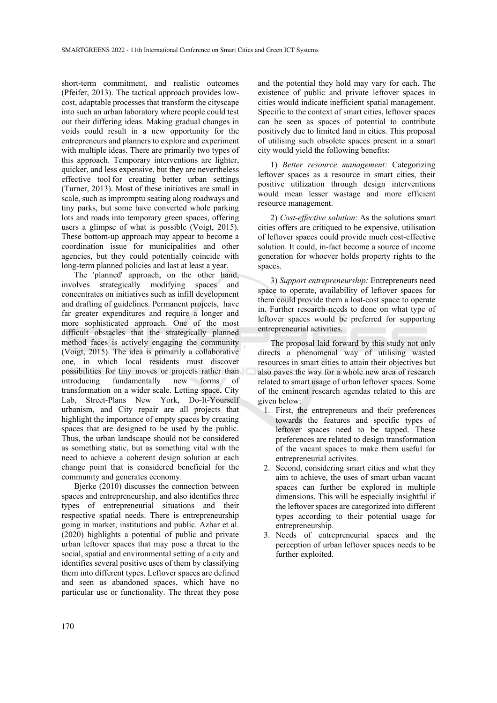short-term commitment, and realistic outcomes (Pfeifer, 2013). The tactical approach provides lowcost, adaptable processes that transform the cityscape into such an urban laboratory where people could test out their differing ideas. Making gradual changes in voids could result in a new opportunity for the entrepreneurs and planners to explore and experiment with multiple ideas. There are primarily two types of this approach. Temporary interventions are lighter, quicker, and less expensive, but they are nevertheless effective tool for creating better urban settings (Turner, 2013). Most of these initiatives are small in scale, such as impromptu seating along roadways and tiny parks, but some have converted whole parking lots and roads into temporary green spaces, offering users a glimpse of what is possible (Voigt, 2015). These bottom-up approach may appear to become a coordination issue for municipalities and other agencies, but they could potentially coincide with long-term planned policies and last at least a year.

The 'planned' approach, on the other hand, involves strategically modifying spaces and concentrates on initiatives such as infill development and drafting of guidelines. Permanent projects, have far greater expenditures and require a longer and more sophisticated approach. One of the most difficult obstacles that the strategically planned method faces is actively engaging the community (Voigt, 2015). The idea is primarily a collaborative one, in which local residents must discover possibilities for tiny moves or projects rather than introducing fundamentally new forms of transformation on a wider scale. Letting space, City Lab, Street-Plans New York, Do-It-Yourself urbanism, and City repair are all projects that highlight the importance of empty spaces by creating spaces that are designed to be used by the public. Thus, the urban landscape should not be considered as something static, but as something vital with the need to achieve a coherent design solution at each change point that is considered beneficial for the community and generates economy.

Bjerke (2010) discusses the connection between spaces and entrepreneurship, and also identifies three types of entrepreneurial situations and their respective spatial needs. There is entrepreneurship going in market, institutions and public. Azhar et al. (2020) highlights a potential of public and private urban leftover spaces that may pose a threat to the social, spatial and environmental setting of a city and identifies several positive uses of them by classifying them into different types. Leftover spaces are defined and seen as abandoned spaces, which have no particular use or functionality. The threat they pose

and the potential they hold may vary for each. The existence of public and private leftover spaces in cities would indicate inefficient spatial management. Specific to the context of smart cities, leftover spaces can be seen as spaces of potential to contribute positively due to limited land in cities. This proposal of utilising such obsolete spaces present in a smart city would yield the following benefits:

1) *Better resource management:* Categorizing leftover spaces as a resource in smart cities, their positive utilization through design interventions would mean lesser wastage and more efficient resource management.

2) *Cost-effective solution*: As the solutions smart cities offers are critiqued to be expensive, utilisation of leftover spaces could provide much cost-effective solution. It could, in-fact become a source of income generation for whoever holds property rights to the spaces.

3) *Support entrepreneurship:* Entrepreneurs need space to operate, availability of leftover spaces for them could provide them a lost-cost space to operate in. Further research needs to done on what type of leftover spaces would be preferred for supporting entrepreneurial activities.

The proposal laid forward by this study not only directs a phenomenal way of utilising wasted resources in smart cities to attain their objectives but also paves the way for a whole new area of research related to smart usage of urban leftover spaces. Some of the eminent research agendas related to this are given below:

- 1. First, the entrepreneurs and their preferences towards the features and specific types of leftover spaces need to be tapped. These preferences are related to design transformation of the vacant spaces to make them useful for entrepreneurial activites.
- 2. Second, considering smart cities and what they aim to achieve, the uses of smart urban vacant spaces can further be explored in multiple dimensions. This will be especially insightful if the leftover spaces are categorized into different types according to their potential usage for entrepreneurship.
- 3. Needs of entrepreneurial spaces and the perception of urban leftover spaces needs to be further exploited.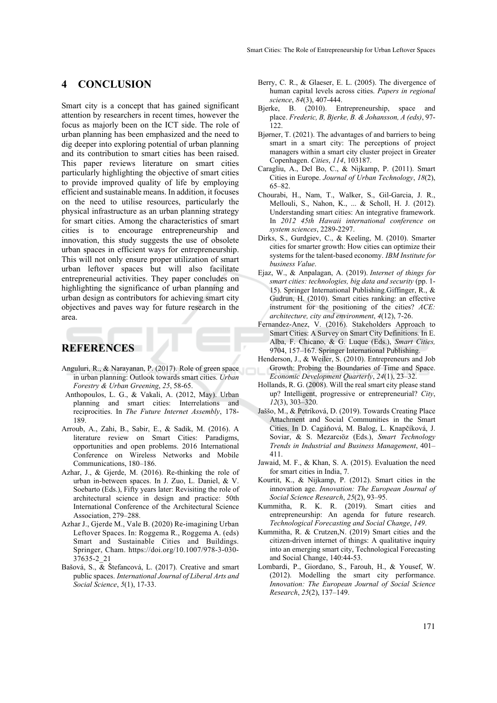### **4 CONCLUSION**

Smart city is a concept that has gained significant attention by researchers in recent times, however the focus as majorly been on the ICT side. The role of urban planning has been emphasized and the need to dig deeper into exploring potential of urban planning and its contribution to smart cities has been raised. This paper reviews literature on smart cities particularly highlighting the objective of smart cities to provide improved quality of life by employing efficient and sustainable means. In addition, it focuses on the need to utilise resources, particularly the physical infrastructure as an urban planning strategy for smart cities. Among the characteristics of smart cities is to encourage entrepreneurship and innovation, this study suggests the use of obsolete urban spaces in efficient ways for entrepreneurship. This will not only ensure proper utilization of smart urban leftover spaces but will also facilitate entrepreneurial activities. They paper concludes on highlighting the significance of urban planning and urban design as contributors for achieving smart city objectives and paves way for future research in the area.

## **REFERENCES**

- Anguluri, R., & Narayanan, P. (2017). Role of green space in urban planning: Outlook towards smart cities. *Urban Forestry & Urban Greening*, *25*, 58-65.
- Anthopoulos, L. G., & Vakali, A. (2012, May). Urban planning and smart cities: Interrelations and reciprocities. In *The Future Internet Assembly*, 178- 189.
- Arroub, A., Zahi, B., Sabir, E., & Sadik, M. (2016). A literature review on Smart Cities: Paradigms, opportunities and open problems. 2016 International Conference on Wireless Networks and Mobile Communications, 180–186.
- Azhar, J., & Gjerde, M. (2016). Re-thinking the role of urban in-between spaces. In J. Zuo, L. Daniel, & V. Soebarto (Eds.), Fifty years later: Revisiting the role of architectural science in design and practice: 50th International Conference of the Architectural Science Association, 279–288.
- Azhar J., Gjerde M., Vale B. (2020) Re-imagining Urban Leftover Spaces. In: Roggema R., Roggema A. (eds) Smart and Sustainable Cities and Buildings. Springer, Cham. https://doi.org/10.1007/978-3-030- 37635-2\_21
- Bašová, S., & Štefancová, L. (2017). Creative and smart public spaces. *International Journal of Liberal Arts and Social Science*, *5*(1), 17-33.
- Berry, C. R., & Glaeser, E. L. (2005). The divergence of human capital levels across cities. *Papers in regional science*, *84*(3), 407-444.
- Bjerke, B. (2010). Entrepreneurship, space and place. *Frederic, B, Bjerke, B. & Johansson, A (eds)*, 97- 122.
- Bjørner, T. (2021). The advantages of and barriers to being smart in a smart city: The perceptions of project managers within a smart city cluster project in Greater Copenhagen. *Cities*, *114*, 103187.
- Caragliu, A., Del Bo, C., & Nijkamp, P. (2011). Smart Cities in Europe. *Journal of Urban Technology*, *18*(2), 65–82.
- Chourabi, H., Nam, T., Walker, S., Gil-Garcia, J. R., Mellouli, S., Nahon, K., ... & Scholl, H. J. (2012). Understanding smart cities: An integrative framework. In *2012 45th Hawaii international conference on system sciences*, 2289-2297.
- Dirks, S., Gurdgiev, C., & Keeling, M. (2010). Smarter cities for smarter growth: How cities can optimize their systems for the talent-based economy. *IBM Institute for business Value*.
- Ejaz, W., & Anpalagan, A. (2019). *Internet of things for smart cities: technologies, big data and security* (pp. 1- 15). Springer International Publishing.Giffinger, R., & Gudrun, H. (2010). Smart cities ranking: an effective instrument for the positioning of the cities? *ACE: architecture, city and environment*, *4*(12), 7-26.
- Fernandez-Anez, V. (2016). Stakeholders Approach to Smart Cities: A Survey on Smart City Definitions. In E. Alba, F. Chicano, & G. Luque (Eds.), *Smart Cities,* 9704, 157–167. Springer International Publishing.
- Henderson, J., & Weiler, S. (2010). Entrepreneurs and Job Growth: Probing the Boundaries of Time and Space. *Economic Development Quarterly*, *24*(1), 23–32.
- Hollands, R. G. (2008). Will the real smart city please stand up? Intelligent, progressive or entrepreneurial? *City*, *12*(3), 303–320.
- Jaššo, M., & Petríková, D. (2019). Towards Creating Place Attachment and Social Communities in the Smart Cities. In D. Cagáňová, M. Balog, L. Knapčíková, J. Soviar, & S. Mezarcıöz (Eds.), *Smart Technology Trends in Industrial and Business Management*, 401– 411.
- Jawaid, M. F., & Khan, S. A. (2015). Evaluation the need for smart cities in India, 7.
- Kourtit, K., & Nijkamp, P. (2012). Smart cities in the innovation age. *Innovation: The European Journal of Social Science Research*, *25*(2), 93–95.
- Kummitha, R. K. R. (2019). Smart cities and entrepreneurship: An agenda for future research. *Technological Forecasting and Social Change*, *149*.
- Kummitha, R. & Crutzen,N. (2019) Smart cities and the citizen-driven internet of things: A qualitative inquiry into an emerging smart city, Technological Forecasting and Social Change, 140:44-53.
- Lombardi, P., Giordano, S., Farouh, H., & Yousef, W. (2012). Modelling the smart city performance. *Innovation: The European Journal of Social Science Research*, *25*(2), 137–149.